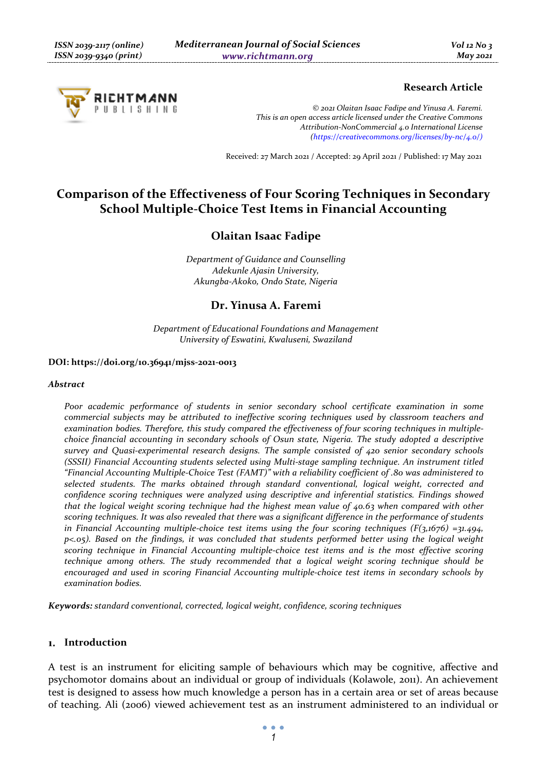

## **Research Article**

*© 2021 Olaitan Isaac Fadipe and Yinusa A. Faremi. This is an open access article licensed under the Creative Commons Attribution-NonCommercial 4.0 International License (https://creativecommons.org/licenses/by-nc/4.0/)*

Received: 27 March 2021 / Accepted: 29 April 2021 / Published: 17 May 2021

# **Comparison of the Effectiveness of Four Scoring Techniques in Secondary School Multiple-Choice Test Items in Financial Accounting**

# **Olaitan Isaac Fadipe**

*Department of Guidance and Counselling Adekunle Ajasin University, Akungba-Akoko, Ondo State, Nigeria* 

## **Dr. Yinusa A. Faremi**

*Department of Educational Foundations and Management University of Eswatini, Kwaluseni, Swaziland* 

#### **DOI: https://doi.org/10.36941/mjss-2021-0013**

#### *Abstract*

*Poor academic performance of students in senior secondary school certificate examination in some commercial subjects may be attributed to ineffective scoring techniques used by classroom teachers and examination bodies. Therefore, this study compared the effectiveness of four scoring techniques in multiplechoice financial accounting in secondary schools of Osun state, Nigeria. The study adopted a descriptive survey and Quasi-experimental research designs. The sample consisted of 420 senior secondary schools (SSSII) Financial Accounting students selected using Multi-stage sampling technique. An instrument titled "Financial Accounting Multiple-Choice Test (FAMT)" with a reliability coefficient of .80 was administered to selected students. The marks obtained through standard conventional, logical weight, corrected and confidence scoring techniques were analyzed using descriptive and inferential statistics. Findings showed that the logical weight scoring technique had the highest mean value of 40.63 when compared with other scoring techniques. It was also revealed that there was a significant difference in the performance of students in Financial Accounting multiple-choice test items using the four scoring techniques (F(3,1676) =31.494, p<.05). Based on the findings, it was concluded that students performed better using the logical weight scoring technique in Financial Accounting multiple-choice test items and is the most effective scoring technique among others. The study recommended that a logical weight scoring technique should be encouraged and used in scoring Financial Accounting multiple-choice test items in secondary schools by examination bodies.* 

*Keywords: standard conventional, corrected, logical weight, confidence, scoring techniques* 

#### **Introduction**

A test is an instrument for eliciting sample of behaviours which may be cognitive, affective and psychomotor domains about an individual or group of individuals (Kolawole, 2011). An achievement test is designed to assess how much knowledge a person has in a certain area or set of areas because of teaching. Ali (2006) viewed achievement test as an instrument administered to an individual or

 $\bullet$   $\bullet$   $\bullet$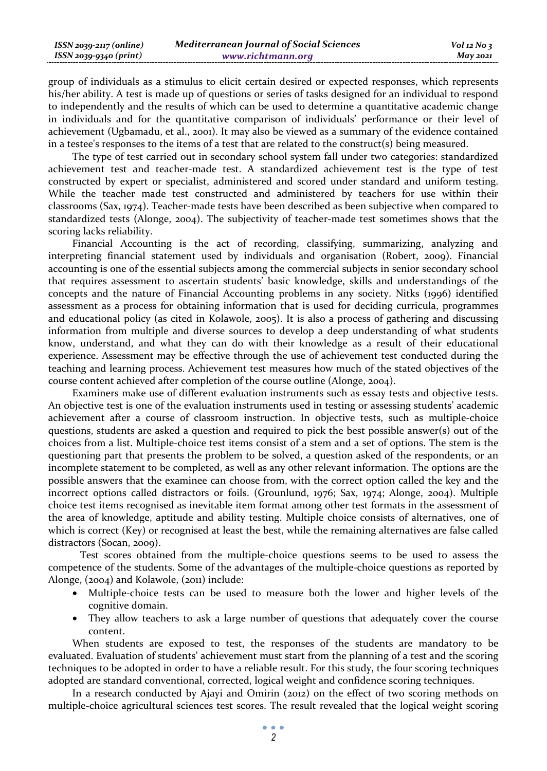| ISSN 2039-2117 (online) | <b>Mediterranean Journal of Social Sciences</b> | $Vol$ 12 No 3 |
|-------------------------|-------------------------------------------------|---------------|
| ISSN 2039-9340 (print)  | www.richtmann.org                               | May 2021      |

group of individuals as a stimulus to elicit certain desired or expected responses, which represents his/her ability. A test is made up of questions or series of tasks designed for an individual to respond to independently and the results of which can be used to determine a quantitative academic change in individuals and for the quantitative comparison of individuals' performance or their level of achievement (Ugbamadu, et al., 2001). It may also be viewed as a summary of the evidence contained in a testee's responses to the items of a test that are related to the construct(s) being measured.

The type of test carried out in secondary school system fall under two categories: standardized achievement test and teacher-made test. A standardized achievement test is the type of test constructed by expert or specialist, administered and scored under standard and uniform testing. While the teacher made test constructed and administered by teachers for use within their classrooms (Sax, 1974). Teacher-made tests have been described as been subjective when compared to standardized tests (Alonge, 2004). The subjectivity of teacher-made test sometimes shows that the scoring lacks reliability.

Financial Accounting is the act of recording, classifying, summarizing, analyzing and interpreting financial statement used by individuals and organisation (Robert, 2009). Financial accounting is one of the essential subjects among the commercial subjects in senior secondary school that requires assessment to ascertain students' basic knowledge, skills and understandings of the concepts and the nature of Financial Accounting problems in any society. Nitks (1996) identified assessment as a process for obtaining information that is used for deciding curricula, programmes and educational policy (as cited in Kolawole, 2005). It is also a process of gathering and discussing information from multiple and diverse sources to develop a deep understanding of what students know, understand, and what they can do with their knowledge as a result of their educational experience. Assessment may be effective through the use of achievement test conducted during the teaching and learning process. Achievement test measures how much of the stated objectives of the course content achieved after completion of the course outline (Alonge, 2004).

Examiners make use of different evaluation instruments such as essay tests and objective tests. An objective test is one of the evaluation instruments used in testing or assessing students' academic achievement after a course of classroom instruction. In objective tests, such as multiple-choice questions, students are asked a question and required to pick the best possible answer(s) out of the choices from a list. Multiple-choice test items consist of a stem and a set of options. The stem is the questioning part that presents the problem to be solved, a question asked of the respondents, or an incomplete statement to be completed, as well as any other relevant information. The options are the possible answers that the examinee can choose from, with the correct option called the key and the incorrect options called distractors or foils. (Grounlund, 1976; Sax, 1974; Alonge, 2004). Multiple choice test items recognised as inevitable item format among other test formats in the assessment of the area of knowledge, aptitude and ability testing. Multiple choice consists of alternatives, one of which is correct (Key) or recognised at least the best, while the remaining alternatives are false called distractors (Socan, 2009).

 Test scores obtained from the multiple-choice questions seems to be used to assess the competence of the students. Some of the advantages of the multiple-choice questions as reported by Alonge, (2004) and Kolawole, (2011) include:

- Multiple-choice tests can be used to measure both the lower and higher levels of the cognitive domain.
- They allow teachers to ask a large number of questions that adequately cover the course content.

When students are exposed to test, the responses of the students are mandatory to be evaluated. Evaluation of students' achievement must start from the planning of a test and the scoring techniques to be adopted in order to have a reliable result. For this study, the four scoring techniques adopted are standard conventional, corrected, logical weight and confidence scoring techniques.

In a research conducted by Ajayi and Omirin (2012) on the effect of two scoring methods on multiple-choice agricultural sciences test scores. The result revealed that the logical weight scoring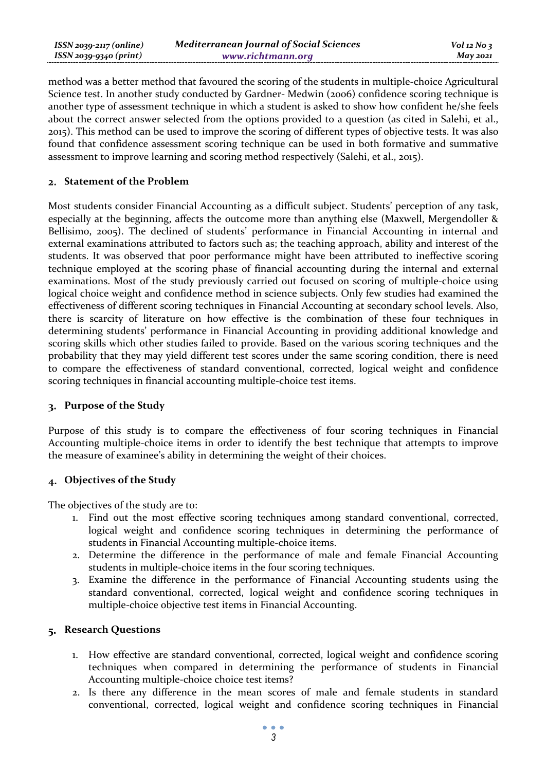| ISSN 2039-2117 (online) | <b>Mediterranean Journal of Social Sciences</b> | $Vol$ 12 No 3 |
|-------------------------|-------------------------------------------------|---------------|
| ISSN 2039-9340 (print)  | www.richtmann.org                               | May 2021      |

method was a better method that favoured the scoring of the students in multiple-choice Agricultural Science test. In another study conducted by Gardner- Medwin (2006) confidence scoring technique is another type of assessment technique in which a student is asked to show how confident he/she feels about the correct answer selected from the options provided to a question (as cited in Salehi, et al., 2015). This method can be used to improve the scoring of different types of objective tests. It was also found that confidence assessment scoring technique can be used in both formative and summative assessment to improve learning and scoring method respectively (Salehi, et al., 2015).

### **Statement of the Problem**

Most students consider Financial Accounting as a difficult subject. Students' perception of any task, especially at the beginning, affects the outcome more than anything else (Maxwell, Mergendoller & Bellisimo, 2005). The declined of students' performance in Financial Accounting in internal and external examinations attributed to factors such as; the teaching approach, ability and interest of the students. It was observed that poor performance might have been attributed to ineffective scoring technique employed at the scoring phase of financial accounting during the internal and external examinations. Most of the study previously carried out focused on scoring of multiple-choice using logical choice weight and confidence method in science subjects. Only few studies had examined the effectiveness of different scoring techniques in Financial Accounting at secondary school levels. Also, there is scarcity of literature on how effective is the combination of these four techniques in determining students' performance in Financial Accounting in providing additional knowledge and scoring skills which other studies failed to provide. Based on the various scoring techniques and the probability that they may yield different test scores under the same scoring condition, there is need to compare the effectiveness of standard conventional, corrected, logical weight and confidence scoring techniques in financial accounting multiple-choice test items.

### **Purpose of the Study**

Purpose of this study is to compare the effectiveness of four scoring techniques in Financial Accounting multiple-choice items in order to identify the best technique that attempts to improve the measure of examinee's ability in determining the weight of their choices.

### **Objectives of the Study**

The objectives of the study are to:

- 1. Find out the most effective scoring techniques among standard conventional, corrected, logical weight and confidence scoring techniques in determining the performance of students in Financial Accounting multiple-choice items.
- 2. Determine the difference in the performance of male and female Financial Accounting students in multiple-choice items in the four scoring techniques.
- 3. Examine the difference in the performance of Financial Accounting students using the standard conventional, corrected, logical weight and confidence scoring techniques in multiple-choice objective test items in Financial Accounting.

#### **Research Questions**

- 1. How effective are standard conventional, corrected, logical weight and confidence scoring techniques when compared in determining the performance of students in Financial Accounting multiple-choice choice test items?
- 2. Is there any difference in the mean scores of male and female students in standard conventional, corrected, logical weight and confidence scoring techniques in Financial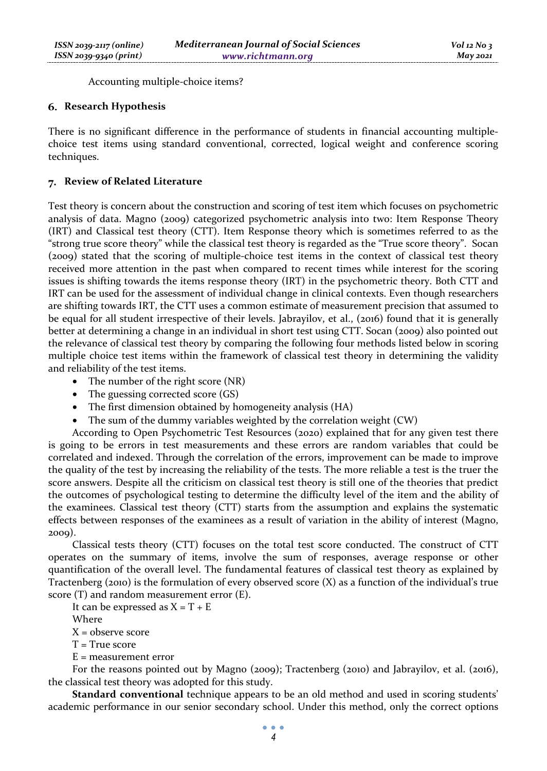Accounting multiple-choice items?

### **Research Hypothesis**

There is no significant difference in the performance of students in financial accounting multiplechoice test items using standard conventional, corrected, logical weight and conference scoring techniques.

### **Review of Related Literature**

Test theory is concern about the construction and scoring of test item which focuses on psychometric analysis of data. Magno (2009) categorized psychometric analysis into two: Item Response Theory (IRT) and Classical test theory (CTT). Item Response theory which is sometimes referred to as the "strong true score theory" while the classical test theory is regarded as the "True score theory". Socan (2009) stated that the scoring of multiple-choice test items in the context of classical test theory received more attention in the past when compared to recent times while interest for the scoring issues is shifting towards the items response theory (IRT) in the psychometric theory. Both CTT and IRT can be used for the assessment of individual change in clinical contexts. Even though researchers are shifting towards IRT, the CTT uses a common estimate of measurement precision that assumed to be equal for all student irrespective of their levels. Jabrayilov, et al., (2016) found that it is generally better at determining a change in an individual in short test using CTT. Socan (2009) also pointed out the relevance of classical test theory by comparing the following four methods listed below in scoring multiple choice test items within the framework of classical test theory in determining the validity and reliability of the test items.

- The number of the right score (NR)
- The guessing corrected score (GS)
- The first dimension obtained by homogeneity analysis (HA)
- The sum of the dummy variables weighted by the correlation weight (CW)

According to Open Psychometric Test Resources (2020) explained that for any given test there is going to be errors in test measurements and these errors are random variables that could be correlated and indexed. Through the correlation of the errors, improvement can be made to improve the quality of the test by increasing the reliability of the tests. The more reliable a test is the truer the score answers. Despite all the criticism on classical test theory is still one of the theories that predict the outcomes of psychological testing to determine the difficulty level of the item and the ability of the examinees. Classical test theory (CTT) starts from the assumption and explains the systematic effects between responses of the examinees as a result of variation in the ability of interest (Magno, 2009).

Classical tests theory (CTT) focuses on the total test score conducted. The construct of CTT operates on the summary of items, involve the sum of responses, average response or other quantification of the overall level. The fundamental features of classical test theory as explained by Tractenberg (2010) is the formulation of every observed score (X) as a function of the individual's true score (T) and random measurement error (E).

It can be expressed as  $X = T + E$ 

Where

 $X =$  observe score

- T = True score
- E = measurement error

For the reasons pointed out by Magno (2009); Tractenberg (2010) and Jabrayilov, et al. (2016), the classical test theory was adopted for this study.

**Standard conventional** technique appears to be an old method and used in scoring students' academic performance in our senior secondary school. Under this method, only the correct options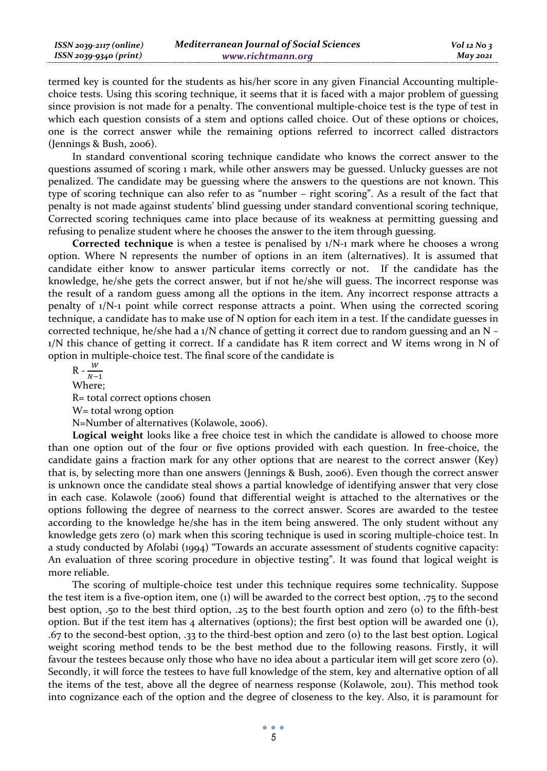| ISSN 2039-2117 (online) | <b>Mediterranean Journal of Social Sciences</b> | $Vol$ 12 No 3   |
|-------------------------|-------------------------------------------------|-----------------|
| ISSN 2039-9340 (print)  | www.richtmann.org                               | <b>May 2021</b> |

termed key is counted for the students as his/her score in any given Financial Accounting multiplechoice tests. Using this scoring technique, it seems that it is faced with a major problem of guessing since provision is not made for a penalty. The conventional multiple-choice test is the type of test in which each question consists of a stem and options called choice. Out of these options or choices, one is the correct answer while the remaining options referred to incorrect called distractors (Jennings & Bush, 2006).

In standard conventional scoring technique candidate who knows the correct answer to the questions assumed of scoring 1 mark, while other answers may be guessed. Unlucky guesses are not penalized. The candidate may be guessing where the answers to the questions are not known. This type of scoring technique can also refer to as "number – right scoring". As a result of the fact that penalty is not made against students' blind guessing under standard conventional scoring technique, Corrected scoring techniques came into place because of its weakness at permitting guessing and refusing to penalize student where he chooses the answer to the item through guessing.

**Corrected technique** is when a testee is penalised by 1/N-1 mark where he chooses a wrong option. Where N represents the number of options in an item (alternatives). It is assumed that candidate either know to answer particular items correctly or not. If the candidate has the knowledge, he/she gets the correct answer, but if not he/she will guess. The incorrect response was the result of a random guess among all the options in the item. Any incorrect response attracts a penalty of 1/N-1 point while correct response attracts a point. When using the corrected scoring technique, a candidate has to make use of N option for each item in a test. If the candidate guesses in corrected technique, he/she had a  $1/N$  chance of getting it correct due to random guessing and an N – 1/N this chance of getting it correct. If a candidate has R item correct and W items wrong in N of option in multiple-choice test. The final score of the candidate is

 $R - \frac{W}{N-1}$ Where; R= total correct options chosen W= total wrong option N=Number of alternatives (Kolawole, 2006).

**Logical weight** looks like a free choice test in which the candidate is allowed to choose more than one option out of the four or five options provided with each question. In free-choice, the candidate gains a fraction mark for any other options that are nearest to the correct answer (Key) that is, by selecting more than one answers (Jennings & Bush, 2006). Even though the correct answer is unknown once the candidate steal shows a partial knowledge of identifying answer that very close in each case. Kolawole (2006) found that differential weight is attached to the alternatives or the options following the degree of nearness to the correct answer. Scores are awarded to the testee according to the knowledge he/she has in the item being answered. The only student without any knowledge gets zero (0) mark when this scoring technique is used in scoring multiple-choice test. In a study conducted by Afolabi (1994) "Towards an accurate assessment of students cognitive capacity: An evaluation of three scoring procedure in objective testing". It was found that logical weight is more reliable.

The scoring of multiple-choice test under this technique requires some technicality. Suppose the test item is a five-option item, one (1) will be awarded to the correct best option, .75 to the second best option, .50 to the best third option, .25 to the best fourth option and zero (0) to the fifth-best option. But if the test item has 4 alternatives (options); the first best option will be awarded one  $(i)$ , .67 to the second-best option, .33 to the third-best option and zero (0) to the last best option. Logical weight scoring method tends to be the best method due to the following reasons. Firstly, it will favour the testees because only those who have no idea about a particular item will get score zero (0). Secondly, it will force the testees to have full knowledge of the stem, key and alternative option of all the items of the test, above all the degree of nearness response (Kolawole, 2011). This method took into cognizance each of the option and the degree of closeness to the key. Also, it is paramount for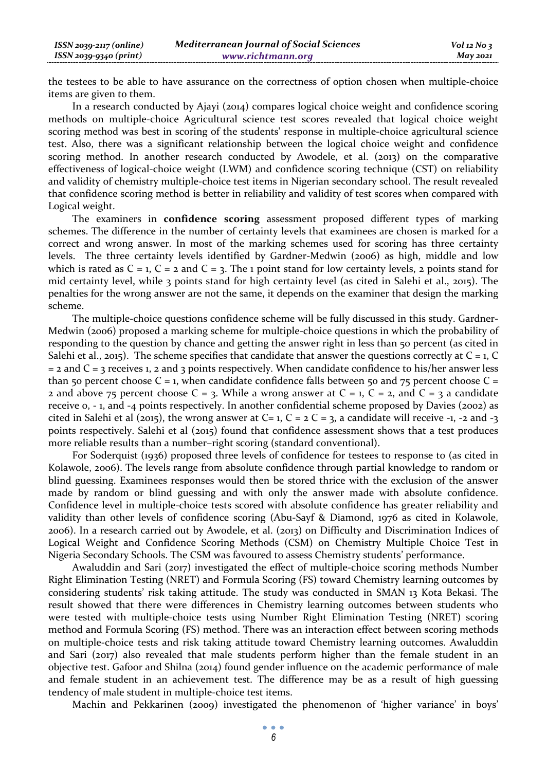the testees to be able to have assurance on the correctness of option chosen when multiple-choice items are given to them.

In a research conducted by Ajayi (2014) compares logical choice weight and confidence scoring methods on multiple-choice Agricultural science test scores revealed that logical choice weight scoring method was best in scoring of the students' response in multiple-choice agricultural science test. Also, there was a significant relationship between the logical choice weight and confidence scoring method. In another research conducted by Awodele, et al. (2013) on the comparative effectiveness of logical-choice weight (LWM) and confidence scoring technique (CST) on reliability and validity of chemistry multiple-choice test items in Nigerian secondary school. The result revealed that confidence scoring method is better in reliability and validity of test scores when compared with Logical weight.

The examiners in **confidence scoring** assessment proposed different types of marking schemes. The difference in the number of certainty levels that examinees are chosen is marked for a correct and wrong answer. In most of the marking schemes used for scoring has three certainty levels. The three certainty levels identified by Gardner-Medwin (2006) as high, middle and low which is rated as  $C = 1$ ,  $C = 2$  and  $C = 3$ . The 1 point stand for low certainty levels, 2 points stand for mid certainty level, while 3 points stand for high certainty level (as cited in Salehi et al., 2015). The penalties for the wrong answer are not the same, it depends on the examiner that design the marking scheme.

The multiple-choice questions confidence scheme will be fully discussed in this study. Gardner-Medwin (2006) proposed a marking scheme for multiple-choice questions in which the probability of responding to the question by chance and getting the answer right in less than 50 percent (as cited in Salehi et al., 2015). The scheme specifies that candidate that answer the questions correctly at  $C = 1$ , C  $=$  2 and  $C = 3$  receives 1, 2 and 3 points respectively. When candidate confidence to his/her answer less than 50 percent choose  $C = 1$ , when candidate confidence falls between 50 and 75 percent choose  $C =$ 2 and above 75 percent choose  $C = 3$ . While a wrong answer at  $C = 1$ ,  $C = 2$ , and  $C = 3$  a candidate receive 0, - 1, and -4 points respectively. In another confidential scheme proposed by Davies (2002) as cited in Salehi et al (2015), the wrong answer at C= 1, C = 2 C = 3, a candidate will receive -1, -2 and -3 points respectively. Salehi et al (2015) found that confidence assessment shows that a test produces more reliable results than a number–right scoring (standard conventional).

For Soderquist (1936) proposed three levels of confidence for testees to response to (as cited in Kolawole, 2006). The levels range from absolute confidence through partial knowledge to random or blind guessing. Examinees responses would then be stored thrice with the exclusion of the answer made by random or blind guessing and with only the answer made with absolute confidence. Confidence level in multiple-choice tests scored with absolute confidence has greater reliability and validity than other levels of confidence scoring (Abu-Sayf & Diamond, 1976 as cited in Kolawole, 2006). In a research carried out by Awodele, et al. (2013) on Difficulty and Discrimination Indices of Logical Weight and Confidence Scoring Methods (CSM) on Chemistry Multiple Choice Test in Nigeria Secondary Schools. The CSM was favoured to assess Chemistry students' performance.

Awaluddin and Sari (2017) investigated the effect of multiple-choice scoring methods Number Right Elimination Testing (NRET) and Formula Scoring (FS) toward Chemistry learning outcomes by considering students' risk taking attitude. The study was conducted in SMAN 13 Kota Bekasi. The result showed that there were differences in Chemistry learning outcomes between students who were tested with multiple-choice tests using Number Right Elimination Testing (NRET) scoring method and Formula Scoring (FS) method. There was an interaction effect between scoring methods on multiple-choice tests and risk taking attitude toward Chemistry learning outcomes. Awaluddin and Sari (2017) also revealed that male students perform higher than the female student in an objective test. Gafoor and Shilna (2014) found gender influence on the academic performance of male and female student in an achievement test. The difference may be as a result of high guessing tendency of male student in multiple-choice test items.

Machin and Pekkarinen (2009) investigated the phenomenon of 'higher variance' in boys'

 $\bullet$   $\bullet$   $\bullet$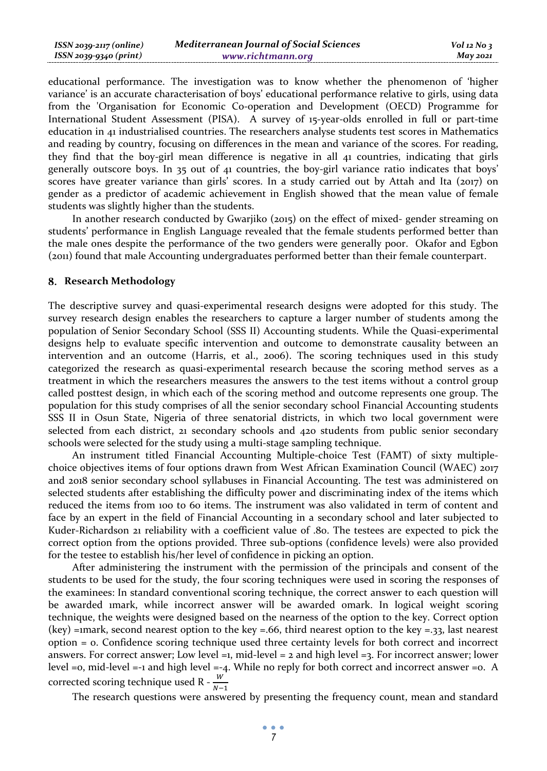| $ISSN 2039-2117 (online)$ | <b>Mediterranean Journal of Social Sciences</b> | $Vol$ 12 No 3   |
|---------------------------|-------------------------------------------------|-----------------|
| ISSN 2039-9340 (print)    | www.richtmann.org                               | <b>May 2021</b> |

educational performance. The investigation was to know whether the phenomenon of 'higher variance' is an accurate characterisation of boys' educational performance relative to girls, using data from the 'Organisation for Economic Co-operation and Development (OECD) Programme for International Student Assessment (PISA). A survey of 15-year-olds enrolled in full or part-time education in 41 industrialised countries. The researchers analyse students test scores in Mathematics and reading by country, focusing on differences in the mean and variance of the scores. For reading, they find that the boy-girl mean difference is negative in all 41 countries, indicating that girls generally outscore boys. In 35 out of 41 countries, the boy-girl variance ratio indicates that boys' scores have greater variance than girls' scores. In a study carried out by Attah and Ita (2017) on gender as a predictor of academic achievement in English showed that the mean value of female students was slightly higher than the students.

In another research conducted by Gwarjiko (2015) on the effect of mixed- gender streaming on students' performance in English Language revealed that the female students performed better than the male ones despite the performance of the two genders were generally poor. Okafor and Egbon (2011) found that male Accounting undergraduates performed better than their female counterpart.

#### **Research Methodology**

The descriptive survey and quasi-experimental research designs were adopted for this study. The survey research design enables the researchers to capture a larger number of students among the population of Senior Secondary School (SSS II) Accounting students. While the Quasi-experimental designs help to evaluate specific intervention and outcome to demonstrate causality between an intervention and an outcome (Harris, et al., 2006). The scoring techniques used in this study categorized the research as quasi-experimental research because the scoring method serves as a treatment in which the researchers measures the answers to the test items without a control group called posttest design, in which each of the scoring method and outcome represents one group. The population for this study comprises of all the senior secondary school Financial Accounting students SSS II in Osun State, Nigeria of three senatorial districts, in which two local government were selected from each district, 21 secondary schools and 420 students from public senior secondary schools were selected for the study using a multi-stage sampling technique.

An instrument titled Financial Accounting Multiple-choice Test (FAMT) of sixty multiplechoice objectives items of four options drawn from West African Examination Council (WAEC) 2017 and 2018 senior secondary school syllabuses in Financial Accounting. The test was administered on selected students after establishing the difficulty power and discriminating index of the items which reduced the items from 100 to 60 items. The instrument was also validated in term of content and face by an expert in the field of Financial Accounting in a secondary school and later subjected to Kuder-Richardson 21 reliability with a coefficient value of .80. The testees are expected to pick the correct option from the options provided. Three sub-options (confidence levels) were also provided for the testee to establish his/her level of confidence in picking an option.

After administering the instrument with the permission of the principals and consent of the students to be used for the study, the four scoring techniques were used in scoring the responses of the examinees: In standard conventional scoring technique, the correct answer to each question will be awarded 1mark, while incorrect answer will be awarded 0mark. In logical weight scoring technique, the weights were designed based on the nearness of the option to the key. Correct option (key) =1mark, second nearest option to the key =.66, third nearest option to the key =.33, last nearest option = 0. Confidence scoring technique used three certainty levels for both correct and incorrect answers. For correct answer; Low level  $=1$ , mid-level  $=2$  and high level  $=3$ . For incorrect answer; lower level =0, mid-level =-1 and high level =-4. While no reply for both correct and incorrect answer =0. A corrected scoring technique used R -  $\frac{W}{N-1}$ 

The research questions were answered by presenting the frequency count, mean and standard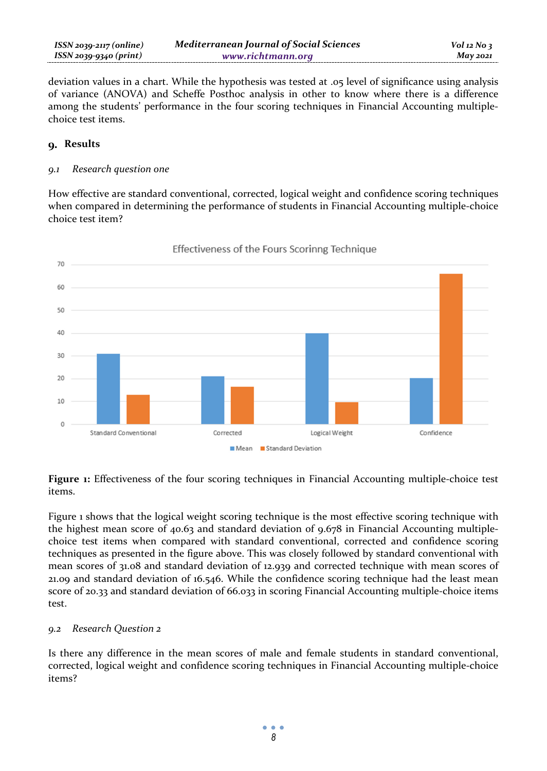deviation values in a chart. While the hypothesis was tested at .05 level of significance using analysis of variance (ANOVA) and Scheffe Posthoc analysis in other to know where there is a difference among the students' performance in the four scoring techniques in Financial Accounting multiplechoice test items.

### **Results**

#### *9.1 Research question one*

How effective are standard conventional, corrected, logical weight and confidence scoring techniques when compared in determining the performance of students in Financial Accounting multiple-choice choice test item?



### Effectiveness of the Fours Scorinng Technique

**Figure 1:** Effectiveness of the four scoring techniques in Financial Accounting multiple-choice test items.

Figure 1 shows that the logical weight scoring technique is the most effective scoring technique with the highest mean score of 40.63 and standard deviation of 9.678 in Financial Accounting multiplechoice test items when compared with standard conventional, corrected and confidence scoring techniques as presented in the figure above. This was closely followed by standard conventional with mean scores of 31.08 and standard deviation of 12.939 and corrected technique with mean scores of 21.09 and standard deviation of 16.546. While the confidence scoring technique had the least mean score of 20.33 and standard deviation of 66.033 in scoring Financial Accounting multiple-choice items test.

### *9.2 Research Question 2*

Is there any difference in the mean scores of male and female students in standard conventional, corrected, logical weight and confidence scoring techniques in Financial Accounting multiple-choice items?

> $\bullet$   $\bullet$   $\bullet$ *8*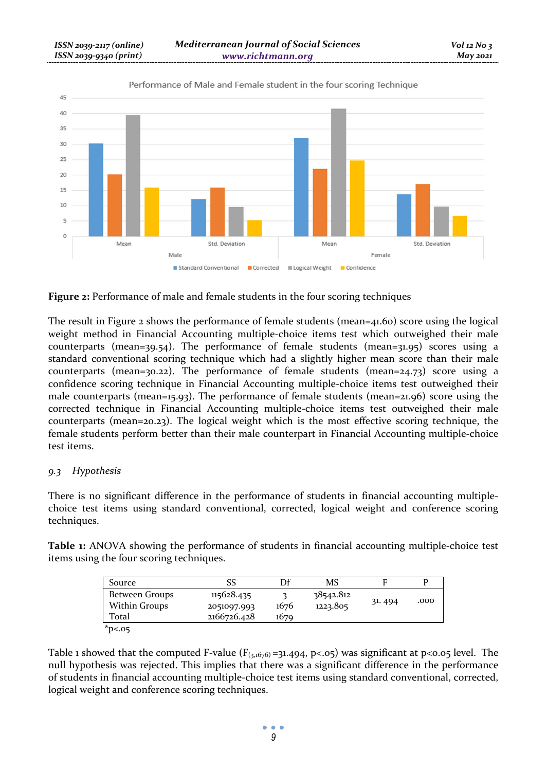

Performance of Male and Female student in the four scoring Technique

**Figure 2:** Performance of male and female students in the four scoring techniques

The result in Figure 2 shows the performance of female students (mean=41.60) score using the logical weight method in Financial Accounting multiple-choice items test which outweighed their male counterparts (mean=39.54). The performance of female students (mean=31.95) scores using a standard conventional scoring technique which had a slightly higher mean score than their male counterparts (mean=30.22). The performance of female students (mean=24.73) score using a confidence scoring technique in Financial Accounting multiple-choice items test outweighed their male counterparts (mean=15.93). The performance of female students (mean=21.96) score using the corrected technique in Financial Accounting multiple-choice items test outweighed their male counterparts (mean=20.23). The logical weight which is the most effective scoring technique, the female students perform better than their male counterpart in Financial Accounting multiple-choice test items.

### *9.3 Hypothesis*

There is no significant difference in the performance of students in financial accounting multiplechoice test items using standard conventional, corrected, logical weight and conference scoring techniques.

**Table 1:** ANOVA showing the performance of students in financial accounting multiple-choice test items using the four scoring techniques.

| Source         | SS          | Df   | MS        |        |      |
|----------------|-------------|------|-----------|--------|------|
| Between Groups | 115628.435  |      | 38542.812 |        |      |
| Within Groups  | 2051097.993 | 1676 | 1223.805  | 31.494 | .000 |
| Total          | 2166726.428 | 1679 |           |        |      |
| $*p05$         |             |      |           |        |      |

Table 1 showed that the computed F-value ( $F_{(3,1676)}$ =31.494, p<.05) was significant at p<0.05 level. The null hypothesis was rejected. This implies that there was a significant difference in the performance of students in financial accounting multiple-choice test items using standard conventional, corrected, logical weight and conference scoring techniques.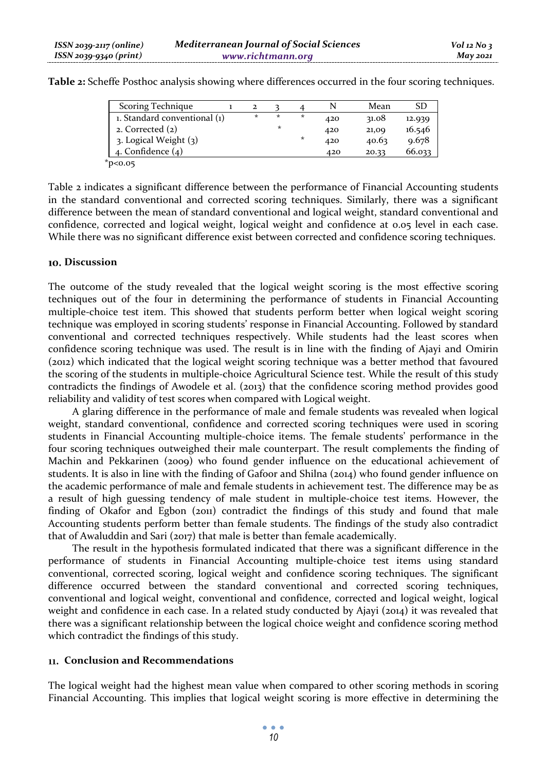| Scoring Technique            |         |         |         |     | Mean  | SD     |
|------------------------------|---------|---------|---------|-----|-------|--------|
| 1. Standard conventional (1) | $\star$ | ÷       | $\star$ | 420 | 31.08 | 12.939 |
| 2. Corrected $(2)$           |         | $\star$ |         | 420 | 21,09 | 16.546 |
| 3. Logical Weight (3)        |         |         | *       | 420 | 40.63 | 9.678  |
| 4. Confidence $(4)$          |         |         |         | 420 | 20.33 | 66.033 |
| $*_{p<0.05}$                 |         |         |         |     |       |        |

**Table 2:** Scheffe Posthoc analysis showing where differences occurred in the four scoring techniques.

Table 2 indicates a significant difference between the performance of Financial Accounting students in the standard conventional and corrected scoring techniques. Similarly, there was a significant difference between the mean of standard conventional and logical weight, standard conventional and confidence, corrected and logical weight, logical weight and confidence at 0.05 level in each case. While there was no significant difference exist between corrected and confidence scoring techniques.

### **Discussion**

The outcome of the study revealed that the logical weight scoring is the most effective scoring techniques out of the four in determining the performance of students in Financial Accounting multiple-choice test item. This showed that students perform better when logical weight scoring technique was employed in scoring students' response in Financial Accounting. Followed by standard conventional and corrected techniques respectively. While students had the least scores when confidence scoring technique was used. The result is in line with the finding of Ajayi and Omirin (2012) which indicated that the logical weight scoring technique was a better method that favoured the scoring of the students in multiple-choice Agricultural Science test. While the result of this study contradicts the findings of Awodele et al. (2013) that the confidence scoring method provides good reliability and validity of test scores when compared with Logical weight.

A glaring difference in the performance of male and female students was revealed when logical weight, standard conventional, confidence and corrected scoring techniques were used in scoring students in Financial Accounting multiple-choice items. The female students' performance in the four scoring techniques outweighed their male counterpart. The result complements the finding of Machin and Pekkarinen (2009) who found gender influence on the educational achievement of students. It is also in line with the finding of Gafoor and Shilna (2014) who found gender influence on the academic performance of male and female students in achievement test. The difference may be as a result of high guessing tendency of male student in multiple-choice test items. However, the finding of Okafor and Egbon (2011) contradict the findings of this study and found that male Accounting students perform better than female students. The findings of the study also contradict that of Awaluddin and Sari (2017) that male is better than female academically.

The result in the hypothesis formulated indicated that there was a significant difference in the performance of students in Financial Accounting multiple-choice test items using standard conventional, corrected scoring, logical weight and confidence scoring techniques. The significant difference occurred between the standard conventional and corrected scoring techniques, conventional and logical weight, conventional and confidence, corrected and logical weight, logical weight and confidence in each case. In a related study conducted by Ajayi (2014) it was revealed that there was a significant relationship between the logical choice weight and confidence scoring method which contradict the findings of this study.

### **Conclusion and Recommendations**

The logical weight had the highest mean value when compared to other scoring methods in scoring Financial Accounting. This implies that logical weight scoring is more effective in determining the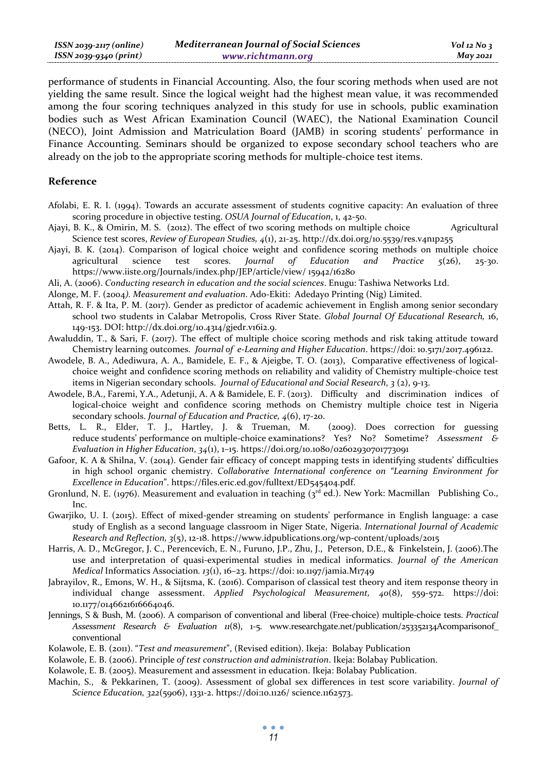| ISSN 2039-2117 (online) | <b>Mediterranean Journal of Social Sciences</b> | $Vol$ 12 No 3   |
|-------------------------|-------------------------------------------------|-----------------|
| ISSN 2039-9340 (print)  | www.richtmann.org                               | <b>May 2021</b> |

performance of students in Financial Accounting. Also, the four scoring methods when used are not yielding the same result. Since the logical weight had the highest mean value, it was recommended among the four scoring techniques analyzed in this study for use in schools, public examination bodies such as West African Examination Council (WAEC), the National Examination Council (NECO), Joint Admission and Matriculation Board (JAMB) in scoring students' performance in Finance Accounting. Seminars should be organized to expose secondary school teachers who are already on the job to the appropriate scoring methods for multiple-choice test items.

### **Reference**

- Afolabi, E. R. I. (1994). Towards an accurate assessment of students cognitive capacity: An evaluation of three scoring procedure in objective testing. *OSUA Journal of Education*, 1, 42-50.
- Ajayi, B. K., & Omirin, M. S. (2012). The effect of two scoring methods on multiple choice Agricultural Science test scores, *Review of European Studies, 4*(1), 21-25. http://dx.doi.org/10.5539/res.v4n1p255
- Ajayi, B. K. (2014). Comparison of logical choice weight and confidence scoring methods on multiple choice agricultural science test scores. *Journal of Education and Practice 5*(26), 25-30. https://www.iiste.org/Journals/index.php/JEP/article/view/ 15942/16280
- Ali, A. (2006). *Conducting research in education and the social sciences*. Enugu: Tashiwa Networks Ltd.

Alonge, M. F. (2004*). Measurement and evaluation*. Ado-Ekiti: Adedayo Printing (Nig) Limited.

- Attah, R. F. & Ita, P. M. (2017). Gender as predictor of academic achievement in English among senior secondary school two students in Calabar Metropolis, Cross River State. *Global Journal Of Educational Research,* 16, 149-153. DOI: http://dx.doi.org/10.4314/gjedr.v16i2.9.
- Awaluddin, T., & Sari, F. (2017). The effect of multiple choice scoring methods and risk taking attitude toward Chemistry learning outcomes. *Journal of e-Learning and Higher Education*. https://doi: 10.5171/2017.496122.
- Awodele, B. A., Adediwura, A. A., Bamidele, E. F., & Ajeigbe, T. O. (2013), Comparative effectiveness of logicalchoice weight and confidence scoring methods on reliability and validity of Chemistry multiple-choice test items in Nigerian secondary schools. *Journal of Educational and Social Research*, *3* (2), 9-13.
- Awodele, B.A., Faremi, Y.A., Adetunji, A. A & Bamidele, E. F. (2013). Difficulty and discrimination indices of logical-choice weight and confidence scoring methods on Chemistry multiple choice test in Nigeria secondary schools. *Journal of Education and Practice, 4*(6), 17-20.
- Betts, L. R., Elder, T. J., Hartley, J. & Trueman, M. (2009). Does correction for guessing reduce students' performance on multiple-choice examinations? Yes? No? Sometime? *Assessment & Evaluation in Higher Education*, *34*(1), 1–15. https://doi.org/10.1080/02602930701773091
- Gafoor, K. A & Shilna, V. (2014). Gender fair efficacy of concept mapping tests in identifying students' difficulties in high school organic chemistry. *Collaborative International conference on "Learning Environment for Excellence in Education*". https://files.eric.ed.gov/fulltext/ED545404.pdf.
- Gronlund, N. E. (1976). Measurement and evaluation in teaching (3<sup>rd</sup> ed.). New York: Macmillan Publishing Co., Inc.
- Gwarjiko, U. I. (2015). Effect of mixed-gender streaming on students' performance in English language: a case study of English as a second language classroom in Niger State, Nigeria. *International Journal of Academic Research and Reflection, 3*(5), 12-18. https://www.idpublications.org/wp-content/uploads/2015
- Harris, A. D., McGregor, J. C., Perencevich, E. N., Furuno, J.P., Zhu, J., Peterson, D.E., & Finkelstein, J. (2006).The use and interpretation of quasi-experimental studies in medical informatics. *Journal of the American Medical* Informatics Association*. 13*(1), 16–23. https://doi: 10.1197/jamia.M1749
- Jabrayilov, R., Emons, W. H., & Sijtsma, K. (2016). Comparison of classical test theory and item response theory in individual change assessment. *Applied Psychological Measurement, 40*(8), 559-572. https://doi: 10.1177/0146621616664046.
- Jennings, S & Bush, M. (2006). A comparison of conventional and liberal (Free-choice) multiple-choice tests. *Practical Assessment Research & Evaluation 11*(8), 1-5. www.researchgate.net/publication/253352134Acomparisonof\_ conventional
- Kolawole, E. B. (2011). "*Test and measurement*", (Revised edition). Ikeja: Bolabay Publication
- Kolawole, E. B. (2006). Principle *of test construction and administration*. Ikeja: Bolabay Publication.
- Kolawole, E. B. (2005). Measurement and assessment in education. Ikeja: Bolabay Publication.
- Machin, S., & Pekkarinen, T. (2009). Assessment of global sex differences in test score variability. *Journal of Science Education, 322*(5906), 1331-2. https://doi:10.1126/ science.1162573.